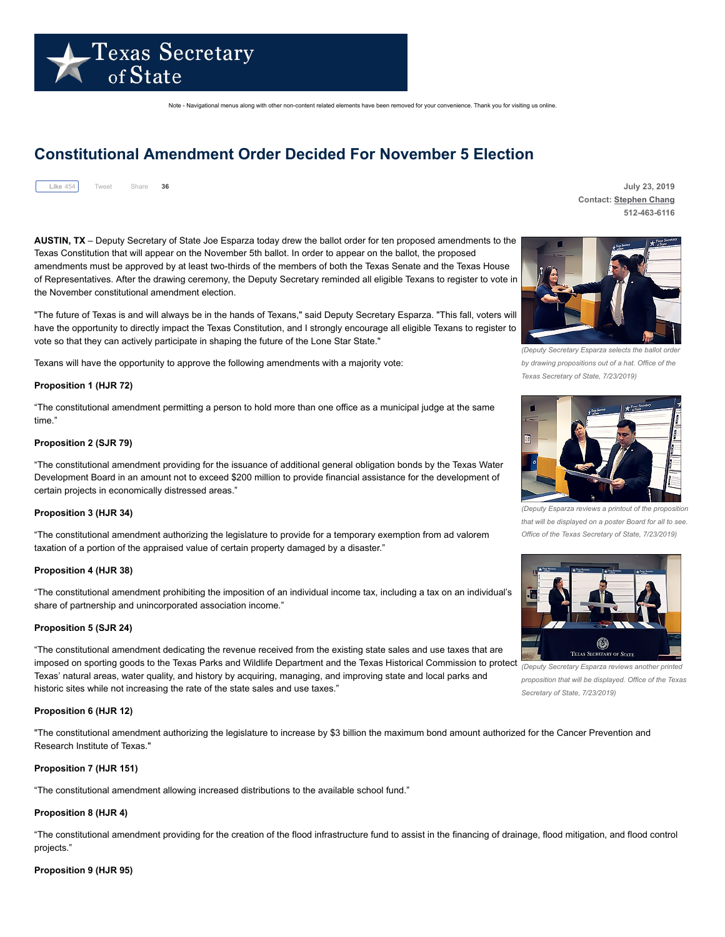

Note - Navigational menus along with other non-content related elements have been removed for your convenience. Thank you for visiting us online.

# **Constitutional Amendment Order Decided For November 5 Election**



Share **36 July 23, 2019 Contact: [Stephen](mailto:schang@sos.texas.gov) Chang 512-463-6116**

**AUSTIN, TX** – Deputy Secretary of State Joe Esparza today drew the ballot order for ten proposed amendments to the Texas Constitution that will appear on the November 5th ballot. In order to appear on the ballot, the proposed amendments must be approved by at least two-thirds of the members of both the Texas Senate and the Texas House of Representatives. After the drawing ceremony, the Deputy Secretary reminded all eligible Texans to register to vote in the November constitutional amendment election.

"The future of Texas is and will always be in the hands of Texans," said Deputy Secretary Esparza. "This fall, voters will have the opportunity to directly impact the Texas Constitution, and I strongly encourage all eligible Texans to register to vote so that they can actively participate in shaping the future of the Lone Star State."

Texans will have the opportunity to approve the following amendments with a majority vote:

## **Proposition 1 (HJR 72)**

"The constitutional amendment permitting a person to hold more than one office as a municipal judge at the same time."

## **Proposition 2 (SJR 79)**

"The constitutional amendment providing for the issuance of additional general obligation bonds by the Texas Water Development Board in an amount not to exceed \$200 million to provide financial assistance for the development of certain projects in economically distressed areas."

# **Proposition 3 (HJR 34)**

"The constitutional amendment authorizing the legislature to provide for a temporary exemption from ad valorem taxation of a portion of the appraised value of certain property damaged by a disaster."

#### **Proposition 4 (HJR 38)**

"The constitutional amendment prohibiting the imposition of an individual income tax, including a tax on an individual's share of partnership and unincorporated association income."

## **Proposition 5 (SJR 24)**

"The constitutional amendment dedicating the revenue received from the existing state sales and use taxes that are imposed on sporting goods to the Texas Parks and Wildlife Department and the Texas Historical Commission to protect Texas' natural areas, water quality, and history by acquiring, managing, and improving state and local parks and historic sites while not increasing the rate of the state sales and use taxes."

## **Proposition 6 (HJR 12)**

"The constitutional amendment authorizing the legislature to increase by \$3 billion the maximum bond amount authorized for the Cancer Prevention and Research Institute of Texas."

## **Proposition 7 (HJR 151)**

"The constitutional amendment allowing increased distributions to the available school fund."

## **Proposition 8 (HJR 4)**

"The constitutional amendment providing for the creation of the flood infrastructure fund to assist in the financing of drainage, flood mitigation, and flood control projects."

#### **Proposition 9 (HJR 95)**



*(Deputy Secretary Esparza selects the ballot order by drawing propositions out of a hat. Office of the Texas Secretary of State, 7/23/2019)*



*(Deputy Esparza reviews a printout of the proposition that will be displayed on a poster Board for all to see. Office of the Texas Secretary of State, 7/23/2019)*



*(Deputy Secretary Esparza reviews another printed proposition that will be displayed. Office of the Texas Secretary of State, 7/23/2019)*